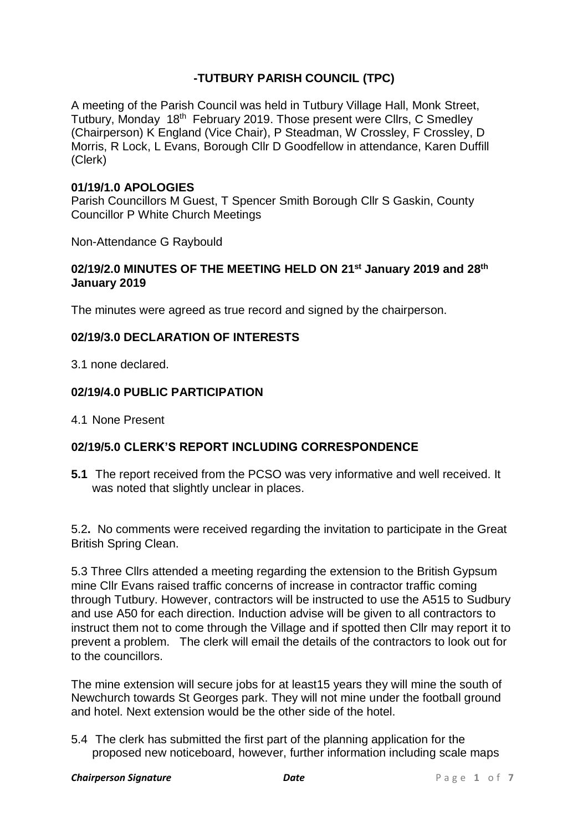# **-TUTBURY PARISH COUNCIL (TPC)**

A meeting of the Parish Council was held in Tutbury Village Hall, Monk Street, Tutbury, Monday 18th February 2019. Those present were Cllrs, C Smedley (Chairperson) K England (Vice Chair), P Steadman, W Crossley, F Crossley, D Morris, R Lock, L Evans, Borough Cllr D Goodfellow in attendance, Karen Duffill (Clerk)

# **01/19/1.0 APOLOGIES**

Parish Councillors M Guest, T Spencer Smith Borough Cllr S Gaskin, County Councillor P White Church Meetings

Non-Attendance G Raybould

### **02/19/2.0 MINUTES OF THE MEETING HELD ON 21st January 2019 and 28th January 2019**

The minutes were agreed as true record and signed by the chairperson.

### **02/19/3.0 DECLARATION OF INTERESTS**

3.1 none declared.

# **02/19/4.0 PUBLIC PARTICIPATION**

4.1 None Present

# **02/19/5.0 CLERK'S REPORT INCLUDING CORRESPONDENCE**

**5.1** The report received from the PCSO was very informative and well received. It was noted that slightly unclear in places.

5.2**.** No comments were received regarding the invitation to participate in the Great British Spring Clean.

5.3 Three Cllrs attended a meeting regarding the extension to the British Gypsum mine Cllr Evans raised traffic concerns of increase in contractor traffic coming through Tutbury. However, contractors will be instructed to use the A515 to Sudbury and use A50 for each direction. Induction advise will be given to all contractors to instruct them not to come through the Village and if spotted then Cllr may report it to prevent a problem. The clerk will email the details of the contractors to look out for to the councillors.

The mine extension will secure jobs for at least15 years they will mine the south of Newchurch towards St Georges park. They will not mine under the football ground and hotel. Next extension would be the other side of the hotel.

5.4 The clerk has submitted the first part of the planning application for the proposed new noticeboard, however, further information including scale maps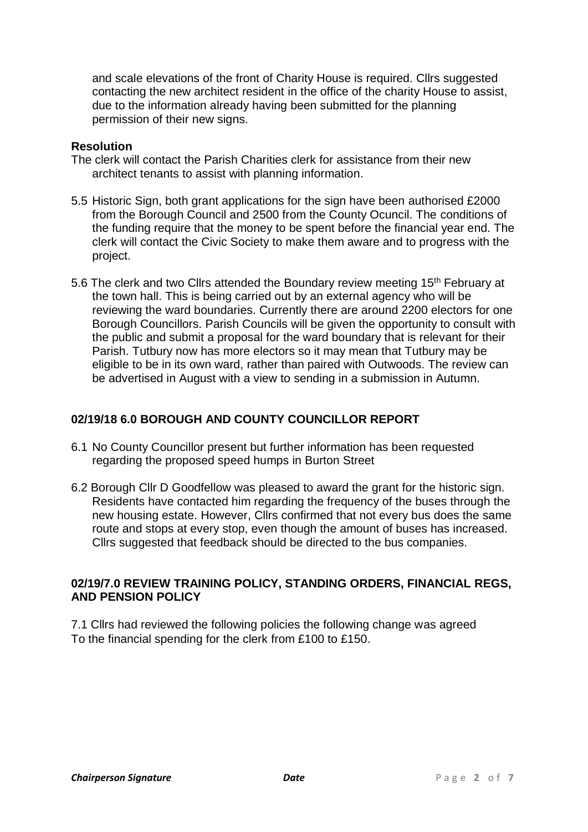and scale elevations of the front of Charity House is required. Cllrs suggested contacting the new architect resident in the office of the charity House to assist, due to the information already having been submitted for the planning permission of their new signs.

# **Resolution**

- The clerk will contact the Parish Charities clerk for assistance from their new architect tenants to assist with planning information.
- 5.5 Historic Sign, both grant applications for the sign have been authorised £2000 from the Borough Council and 2500 from the County Ocuncil. The conditions of the funding require that the money to be spent before the financial year end. The clerk will contact the Civic Society to make them aware and to progress with the project.
- 5.6 The clerk and two Cllrs attended the Boundary review meeting 15<sup>th</sup> February at the town hall. This is being carried out by an external agency who will be reviewing the ward boundaries. Currently there are around 2200 electors for one Borough Councillors. Parish Councils will be given the opportunity to consult with the public and submit a proposal for the ward boundary that is relevant for their Parish. Tutbury now has more electors so it may mean that Tutbury may be eligible to be in its own ward, rather than paired with Outwoods. The review can be advertised in August with a view to sending in a submission in Autumn.

# **02/19/18 6.0 BOROUGH AND COUNTY COUNCILLOR REPORT**

- 6.1 No County Councillor present but further information has been requested regarding the proposed speed humps in Burton Street
- 6.2 Borough Cllr D Goodfellow was pleased to award the grant for the historic sign. Residents have contacted him regarding the frequency of the buses through the new housing estate. However, Cllrs confirmed that not every bus does the same route and stops at every stop, even though the amount of buses has increased. Cllrs suggested that feedback should be directed to the bus companies.

# **02/19/7.0 REVIEW TRAINING POLICY, STANDING ORDERS, FINANCIAL REGS, AND PENSION POLICY**

7.1 Cllrs had reviewed the following policies the following change was agreed To the financial spending for the clerk from £100 to £150.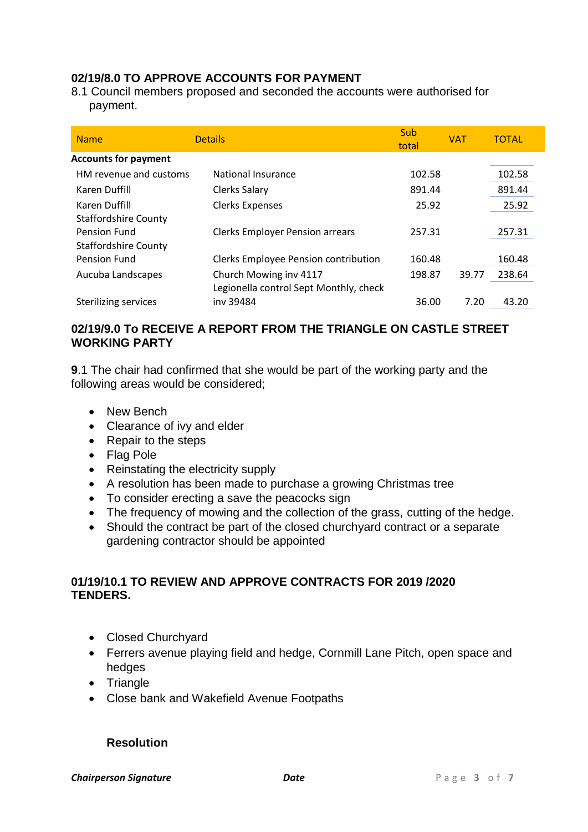# **02/19/8.0 TO APPROVE ACCOUNTS FOR PAYMENT**

8.1 Council members proposed and seconded the accounts were authorised for payment.

| <b>Name</b>                 | <b>Details</b>                         | Sub<br>total | <b>VAT</b> | <b>TOTAL</b> |
|-----------------------------|----------------------------------------|--------------|------------|--------------|
| <b>Accounts for payment</b> |                                        |              |            |              |
| HM revenue and customs      | National Insurance                     | 102.58       |            | 102.58       |
| Karen Duffill               | <b>Clerks Salary</b>                   | 891.44       |            | 891.44       |
| Karen Duffill               | <b>Clerks Expenses</b>                 | 25.92        |            | 25.92        |
| <b>Staffordshire County</b> |                                        |              |            |              |
| Pension Fund                | <b>Clerks Employer Pension arrears</b> | 257.31       |            | 257.31       |
| <b>Staffordshire County</b> |                                        |              |            |              |
| Pension Fund                | Clerks Employee Pension contribution   | 160.48       |            | 160.48       |
| Aucuba Landscapes           | Church Mowing inv 4117                 | 198.87       | 39.77      | 238.64       |
|                             | Legionella control Sept Monthly, check |              |            |              |
| <b>Sterilizing services</b> | iny 39484                              | 36.00        | 7.20       | 43.20        |

# **02/19/9.0 To RECEIVE A REPORT FROM THE TRIANGLE ON CASTLE STREET WORKING PARTY**

**9**.1 The chair had confirmed that she would be part of the working party and the following areas would be considered;

- New Bench
- Clearance of ivy and elder
- Repair to the steps
- Flag Pole
- Reinstating the electricity supply
- A resolution has been made to purchase a growing Christmas tree
- To consider erecting a save the peacocks sign
- The frequency of mowing and the collection of the grass, cutting of the hedge.
- Should the contract be part of the closed churchyard contract or a separate gardening contractor should be appointed

# **01/19/10.1 TO REVIEW AND APPROVE CONTRACTS FOR 2019 /2020 TENDERS.**

- Closed Churchyard
- Ferrers avenue playing field and hedge, Cornmill Lane Pitch, open space and hedges
- Triangle
- Close bank and Wakefield Avenue Footpaths

# **Resolution**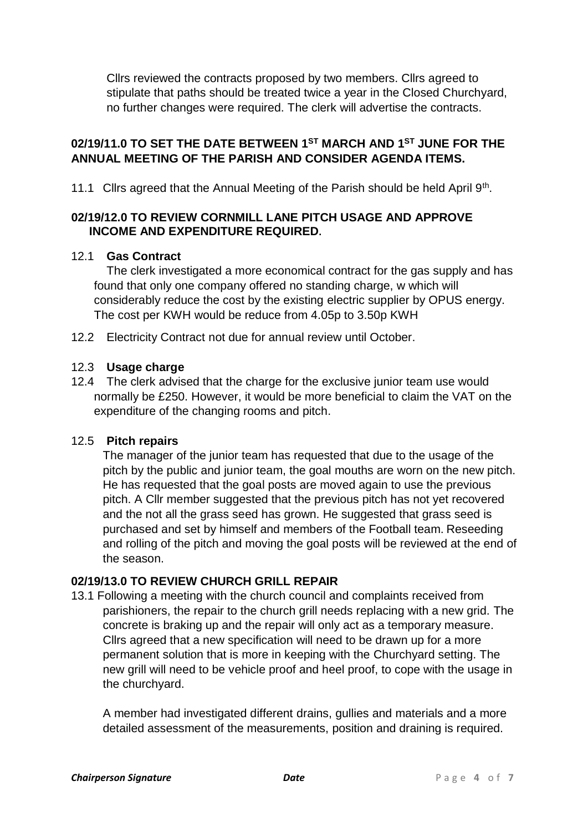Cllrs reviewed the contracts proposed by two members. Cllrs agreed to stipulate that paths should be treated twice a year in the Closed Churchyard, no further changes were required. The clerk will advertise the contracts.

# **02/19/11.0 TO SET THE DATE BETWEEN 1ST MARCH AND 1ST JUNE FOR THE ANNUAL MEETING OF THE PARISH AND CONSIDER AGENDA ITEMS.**

11.1 Cllrs agreed that the Annual Meeting of the Parish should be held April 9<sup>th</sup>.

# **02/19/12.0 TO REVIEW CORNMILL LANE PITCH USAGE AND APPROVE INCOME AND EXPENDITURE REQUIRED.**

# 12.1 **Gas Contract**

The clerk investigated a more economical contract for the gas supply and has found that only one company offered no standing charge, w which will considerably reduce the cost by the existing electric supplier by OPUS energy. The cost per KWH would be reduce from 4.05p to 3.50p KWH

12.2 Electricity Contract not due for annual review until October.

# 12.3 **Usage charge**

12.4 The clerk advised that the charge for the exclusive junior team use would normally be £250. However, it would be more beneficial to claim the VAT on the expenditure of the changing rooms and pitch.

# 12.5 **Pitch repairs**

The manager of the junior team has requested that due to the usage of the pitch by the public and junior team, the goal mouths are worn on the new pitch. He has requested that the goal posts are moved again to use the previous pitch. A Cllr member suggested that the previous pitch has not yet recovered and the not all the grass seed has grown. He suggested that grass seed is purchased and set by himself and members of the Football team. Reseeding and rolling of the pitch and moving the goal posts will be reviewed at the end of the season.

# **02/19/13.0 TO REVIEW CHURCH GRILL REPAIR**

13.1 Following a meeting with the church council and complaints received from parishioners, the repair to the church grill needs replacing with a new grid. The concrete is braking up and the repair will only act as a temporary measure. Cllrs agreed that a new specification will need to be drawn up for a more permanent solution that is more in keeping with the Churchyard setting. The new grill will need to be vehicle proof and heel proof, to cope with the usage in the churchyard.

A member had investigated different drains, gullies and materials and a more detailed assessment of the measurements, position and draining is required.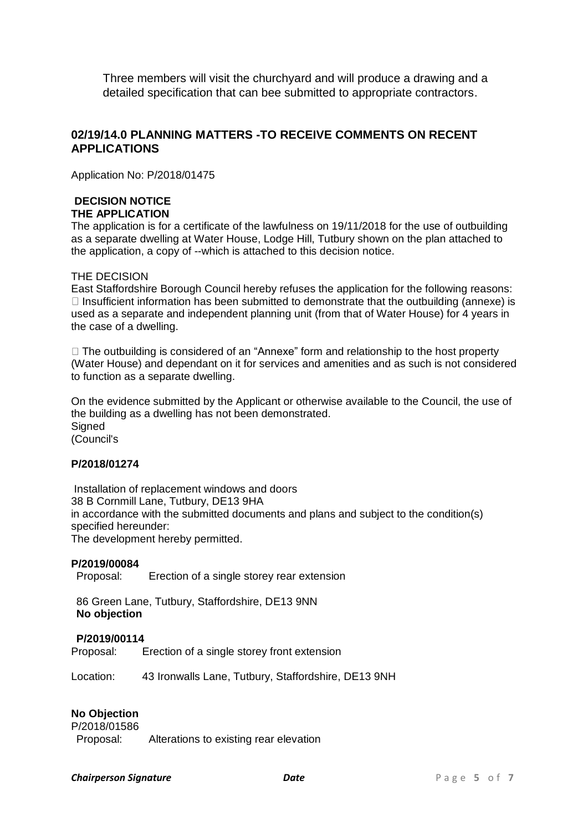Three members will visit the churchyard and will produce a drawing and a detailed specification that can bee submitted to appropriate contractors.

### **02/19/14.0 PLANNING MATTERS -TO RECEIVE COMMENTS ON RECENT APPLICATIONS**

Application No: P/2018/01475

### **DECISION NOTICE THE APPLICATION**

The application is for a certificate of the lawfulness on 19/11/2018 for the use of outbuilding as a separate dwelling at Water House, Lodge Hill, Tutbury shown on the plan attached to the application, a copy of --which is attached to this decision notice.

#### THE DECISION

East Staffordshire Borough Council hereby refuses the application for the following reasons:  $\Box$  Insufficient information has been submitted to demonstrate that the outbuilding (annexe) is used as a separate and independent planning unit (from that of Water House) for 4 years in the case of a dwelling.

 $\Box$  The outbuilding is considered of an "Annexe" form and relationship to the host property (Water House) and dependant on it for services and amenities and as such is not considered to function as a separate dwelling.

On the evidence submitted by the Applicant or otherwise available to the Council, the use of the building as a dwelling has not been demonstrated. **Signed** (Council's

#### **P/2018/01274**

Installation of replacement windows and doors 38 B Cornmill Lane, Tutbury, DE13 9HA in accordance with the submitted documents and plans and subject to the condition(s) specified hereunder:

The development hereby permitted.

#### **P/2019/00084**

Proposal: Erection of a single storey rear extension

86 Green Lane, Tutbury, Staffordshire, DE13 9NN **No objection**

#### **P/2019/00114**

Proposal: Erection of a single storey front extension

Location: 43 Ironwalls Lane, Tutbury, Staffordshire, DE13 9NH

#### **No Objection**

P/2018/01586 Proposal: Alterations to existing rear elevation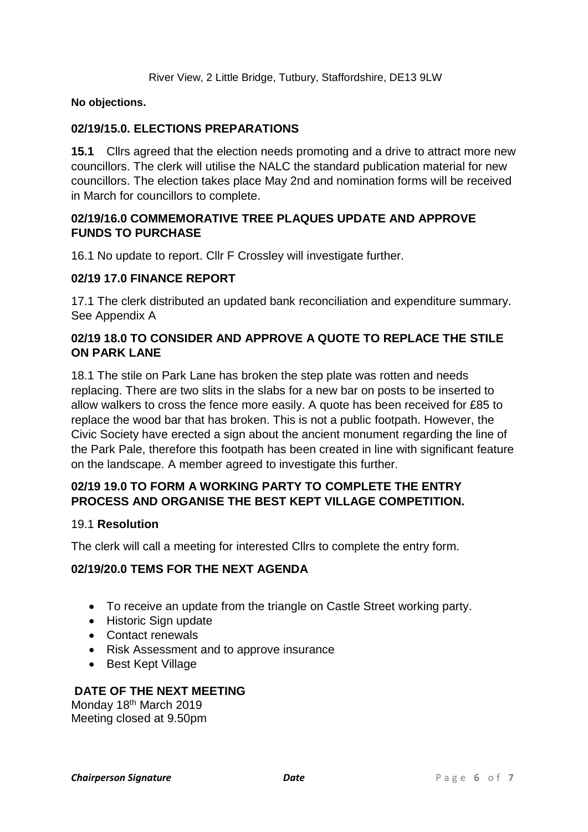### **No objections.**

# **02/19/15.0. ELECTIONS PREPARATIONS**

**15.1** Cllrs agreed that the election needs promoting and a drive to attract more new councillors. The clerk will utilise the NALC the standard publication material for new councillors. The election takes place May 2nd and nomination forms will be received in March for councillors to complete.

# **02/19/16.0 COMMEMORATIVE TREE PLAQUES UPDATE AND APPROVE FUNDS TO PURCHASE**

16.1 No update to report. Cllr F Crossley will investigate further.

# **02/19 17.0 FINANCE REPORT**

17.1 The clerk distributed an updated bank reconciliation and expenditure summary. See Appendix A

# **02/19 18.0 TO CONSIDER AND APPROVE A QUOTE TO REPLACE THE STILE ON PARK LANE**

18.1 The stile on Park Lane has broken the step plate was rotten and needs replacing. There are two slits in the slabs for a new bar on posts to be inserted to allow walkers to cross the fence more easily. A quote has been received for £85 to replace the wood bar that has broken. This is not a public footpath. However, the Civic Society have erected a sign about the ancient monument regarding the line of the Park Pale, therefore this footpath has been created in line with significant feature on the landscape. A member agreed to investigate this further.

# **02/19 19.0 TO FORM A WORKING PARTY TO COMPLETE THE ENTRY PROCESS AND ORGANISE THE BEST KEPT VILLAGE COMPETITION.**

#### 19.1 **Resolution**

The clerk will call a meeting for interested Cllrs to complete the entry form.

# **02/19/20.0 TEMS FOR THE NEXT AGENDA**

- To receive an update from the triangle on Castle Street working party.
- Historic Sign update
- Contact renewals
- Risk Assessment and to approve insurance
- Best Kept Village

# **DATE OF THE NEXT MEETING**

Monday 18<sup>th</sup> March 2019 Meeting closed at 9.50pm